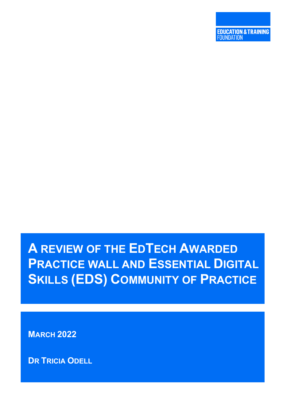# **A REVIEW OF THE EDTECH AWARDED PRACTICE WALL AND ESSENTIAL DIGITAL SKILLS (EDS) COMMUNITY OF PRACTICE**

**MARCH 2022**

**DR TRICIA ODELL**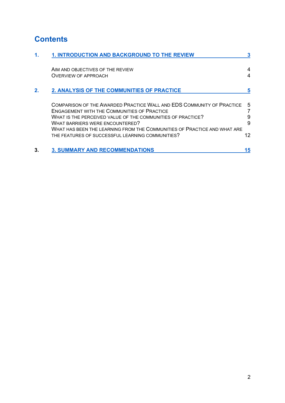# **Contents**

| 1. | <b>1. INTRODUCTION AND BACKGROUND TO THE REVIEW</b>                                                                         |    |
|----|-----------------------------------------------------------------------------------------------------------------------------|----|
|    | AIM AND OBJECTIVES OF THE REVIEW                                                                                            |    |
|    | <b>OVERVIEW OF APPROACH</b>                                                                                                 | 4  |
| 2. | 2. ANALYSIS OF THE COMMUNITIES OF PRACTICE                                                                                  |    |
|    | COMPARISON OF THE AWARDED PRACTICE WALL AND EDS COMMUNITY OF PRACTICE<br><b>ENGAGEMENT WITH THE COMMUNITIES OF PRACTICE</b> | 5  |
|    | WHAT IS THE PERCEIVED VALUE OF THE COMMUNITIES OF PRACTICE?                                                                 | 9  |
|    | <b>WHAT BARRIERS WERE ENCOUNTERED?</b>                                                                                      | 9  |
|    | WHAT HAS BEEN THE LEARNING FROM THE COMMUNITIES OF PRACTICE AND WHAT ARE                                                    |    |
|    | THE FEATURES OF SUCCESSFUL LEARNING COMMUNITIES?                                                                            | 12 |
| 3. | <b>3. SUMMARY AND RECOMMENDATIONS</b>                                                                                       | 15 |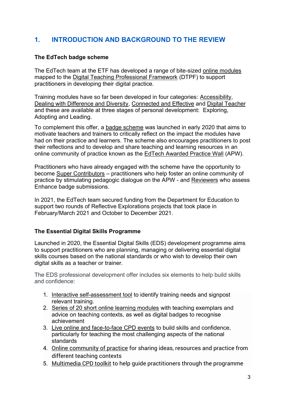# <span id="page-2-0"></span>**1. INTRODUCTION AND BACKGROUND TO THE REVIEW**

# **The EdTech badge scheme**

The EdTech team at the ETF has developed a range of bite-sized [online modules](about:blank) mapped to the [Digital Teaching Professional Framework](about:blank) (DTPF) to support practitioners in developing their digital practice.

Training modules have so far been developed in four categories: [Accessibility,](about:blank) [Dealing with Difference and Diversity, Connected and Effective](about:blank) and [Digital Teacher](about:blank) and these are available at three stages of personal development: Exploring, Adopting and Leading.

To complement this offer, a [badge scheme](about:blank) was launched in early 2020 that aims to motivate teachers and trainers to critically reflect on the impact the modules have had on their practice and learners. The scheme also encourages practitioners to post their reflections and to develop and share teaching and learning resources in an online community of practice known as the [EdTech Awarded Practice Wall](about:blank) (APW).

Practitioners who have already engaged with the scheme have the opportunity to become [Super Contributors](about:blank) – practitioners who help foster an online community of practice by stimulating pedagogic dialogue on the APW - and [Reviewers](about:blank) who assess Enhance badge submissions.

In 2021, the EdTech team secured funding from the Department for Education to support two rounds of Reflective Explorations projects that took place in February/March 2021 and October to December 2021.

# **The Essential Digital Skills Programme**

Launched in 2020, the Essential Digital Skills (EDS) development programme aims to support practitioners who are planning, managing or delivering essential digital skills courses based on the national standards or who wish to develop their own digital skills as a teacher or trainer.

The EDS professional development offer includes six elements to help build skills and confidence:

- 1. [Interactive self-assessment tool](about:blank) to identify training needs and signpost relevant training.
- 2. [Series of 20 short online learning modules](about:blank) with teaching exemplars and advice on teaching contexts, as well as digital badges to recognise achievement
- 3. [Live online and face-to-face CPD events](about:blank) to build skills and confidence, particularly for teaching the most challenging aspects of the national standards
- 4. [Online community of practice](about:blank) for sharing ideas, resources and practice from different teaching contexts
- 5. [Multimedia CPD toolkit](about:blank) to help guide practitioners through the programme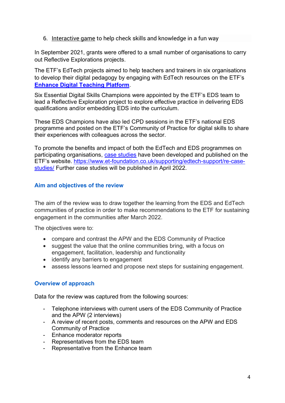6. [Interactive game](about:blank) to help check skills and knowledge in a fun way

In September 2021, grants were offered to a small number of organisations to carry out Reflective Explorations projects.

The ETF's EdTech projects aimed to help teachers and trainers in six organisations to develop their digital pedagogy by engaging with EdTech resources on the ETF's **[Enhance Digital Teaching Platform](about:blank)**.

Six Essential Digital Skills Champions were appointed by the ETF's EDS team to lead a Reflective Exploration project to explore effective practice in delivering EDS qualifications and/or embedding EDS into the curriculum.

These EDS Champions have also led CPD sessions in the ETF's national EDS programme and posted on the ETF's Community of Practice for digital skills to share their experiences with colleagues across the sector.

To promote the benefits and impact of both the EdTech and EDS programmes on participating organisations, [case studies](about:blank) have been developed and published on the ETF's website. [https://www.et-foundation.co.uk/supporting/edtech-support/re-case](about:blank)[studies/](about:blank) Further case studies will be published in April 2022.

## <span id="page-3-0"></span>**Aim and objectives of the review**

The aim of the review was to draw together the learning from the EDS and EdTech communities of practice in order to make recommendations to the ETF for sustaining engagement in the communities after March 2022.

The objectives were to:

- compare and contrast the APW and the EDS Community of Practice
- suggest the value that the online communities bring, with a focus on engagement, facilitation, leadership and functionality
- identify any barriers to engagement
- assess lessons learned and propose next steps for sustaining engagement.

#### <span id="page-3-1"></span>**Overview of approach**

Data for the review was captured from the following sources:

- Telephone interviews with current users of the EDS Community of Practice and the APW (2 interviews)
- A review of recent posts, comments and resources on the APW and EDS Community of Practice
- Enhance moderator reports
- Representatives from the EDS team
- Representative from the Enhance team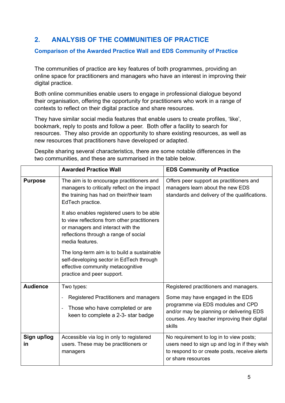# <span id="page-4-0"></span>**2. ANALYSIS OF THE COMMUNITIES OF PRACTICE**

#### <span id="page-4-1"></span>**Comparison of the Awarded Practice Wall and EDS Community of Practice**

The communities of practice are key features of both programmes, providing an online space for practitioners and managers who have an interest in improving their digital practice.

Both online communities enable users to engage in professional dialogue beyond their organisation, offering the opportunity for practitioners who work in a range of contexts to reflect on their digital practice and share resources.

They have similar social media features that enable users to create profiles, 'like', bookmark, reply to posts and follow a peer. Both offer a facility to search for resources. They also provide an opportunity to share existing resources, as well as new resources that practitioners have developed or adapted.

Despite sharing several characteristics, there are some notable differences in the two communities, and these are summarised in the table below.

|                   | <b>Awarded Practice Wall</b>                                                                                                                                                                 | <b>EDS Community of Practice</b>                                                                                                                                                                                      |
|-------------------|----------------------------------------------------------------------------------------------------------------------------------------------------------------------------------------------|-----------------------------------------------------------------------------------------------------------------------------------------------------------------------------------------------------------------------|
| <b>Purpose</b>    | The aim is to encourage practitioners and<br>managers to critically reflect on the impact<br>the training has had on their/their team<br>EdTech practice.                                    | Offers peer support as practitioners and<br>managers learn about the new EDS<br>standards and delivery of the qualifications.                                                                                         |
|                   | It also enables registered users to be able<br>to view reflections from other practitioners<br>or managers and interact with the<br>reflections through a range of social<br>media features. |                                                                                                                                                                                                                       |
|                   | The long-term aim is to build a sustainable<br>self-developing sector in EdTech through<br>effective community metacognitive<br>practice and peer support.                                   |                                                                                                                                                                                                                       |
| <b>Audience</b>   | Two types:<br>Registered Practitioners and managers<br>Those who have completed or are<br>$\overline{\phantom{a}}$<br>keen to complete a 2-3- star badge                                     | Registered practitioners and managers.<br>Some may have engaged in the EDS<br>programme via EDS modules and CPD<br>and/or may be planning or delivering EDS<br>courses. Any teacher improving their digital<br>skills |
| Sign up/log<br>in | Accessible via log in only to registered<br>users. These may be practitioners or<br>managers                                                                                                 | No requirement to log in to view posts;<br>users need to sign up and log in if they wish<br>to respond to or create posts, receive alerts<br>or share resources                                                       |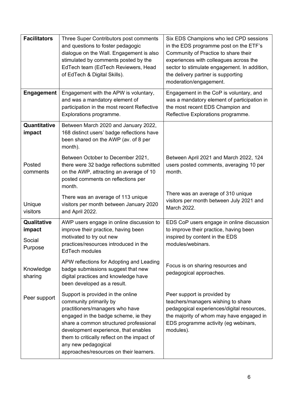| <b>Facilitators</b>                        | Three Super Contributors post comments<br>and questions to foster pedagogic<br>dialogue on the Wall. Engagement is also<br>stimulated by comments posted by the<br>EdTech team (EdTech Reviewers, Head<br>of EdTech & Digital Skills).                                                                                                    | Six EDS Champions who led CPD sessions<br>in the EDS programme post on the ETF's<br>Community of Practice to share their<br>experiences with colleagues across the<br>sector to stimulate engagement. In addition,<br>the delivery partner is supporting<br>moderation/engagement. |
|--------------------------------------------|-------------------------------------------------------------------------------------------------------------------------------------------------------------------------------------------------------------------------------------------------------------------------------------------------------------------------------------------|------------------------------------------------------------------------------------------------------------------------------------------------------------------------------------------------------------------------------------------------------------------------------------|
| <b>Engagement</b>                          | Engagement with the APW is voluntary,<br>and was a mandatory element of<br>participation in the most recent Reflective<br>Explorations programme.                                                                                                                                                                                         | Engagement in the CoP is voluntary, and<br>was a mandatory element of participation in<br>the most recent EDS Champion and<br>Reflective Explorations programme.                                                                                                                   |
| Quantitative<br>impact                     | Between March 2020 and January 2022,<br>168 distinct users' badge reflections have<br>been shared on the AWP (av. of 8 per<br>month).                                                                                                                                                                                                     |                                                                                                                                                                                                                                                                                    |
| Posted<br>comments                         | Between October to December 2021,<br>there were 32 badge reflections submitted<br>on the AWP, attracting an average of 10<br>posted comments on reflections per<br>month.                                                                                                                                                                 | Between April 2021 and March 2022, 124<br>users posted comments, averaging 10 per<br>month.                                                                                                                                                                                        |
| Unique<br>visitors                         | There was an average of 113 unique<br>visitors per month between January 2020<br>and April 2022.                                                                                                                                                                                                                                          | There was an average of 310 unique<br>visitors per month between July 2021 and<br>March 2022.                                                                                                                                                                                      |
| Qualitative<br>impact<br>Social<br>Purpose | AWP users engage in online discussion to<br>improve their practice, having been<br>motivated to try out new<br>practices/resources introduced in the<br><b>EdTech modules</b>                                                                                                                                                             | EDS CoP users engage in online discussion<br>to improve their practice, having been<br>inspired by content in the EDS<br>modules/webinars.                                                                                                                                         |
| Knowledge<br>sharing                       | APW reflections for Adopting and Leading<br>badge submissions suggest that new<br>digital practices and knowledge have<br>been developed as a result.                                                                                                                                                                                     | Focus is on sharing resources and<br>pedagogical approaches.                                                                                                                                                                                                                       |
| Peer support                               | Support is provided in the online<br>community primarily by<br>practitioners/managers who have<br>engaged in the badge scheme, ie they<br>share a common structured professional<br>development experience, that enables<br>them to critically reflect on the impact of<br>any new pedagogical<br>approaches/resources on their learners. | Peer support is provided by<br>teachers/managers wishing to share<br>pedagogical experiences/digital resources,<br>the majority of whom may have engaged in<br>EDS programme activity (eg webinars,<br>modules).                                                                   |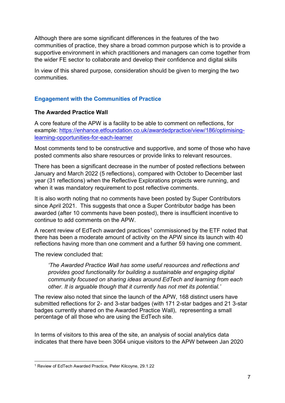Although there are some significant differences in the features of the two communities of practice, they share a broad common purpose which is to provide a supportive environment in which practitioners and managers can come together from the wider FE sector to collaborate and develop their confidence and digital skills

In view of this shared purpose, consideration should be given to merging the two communities.

# <span id="page-6-0"></span>**Engagement with the Communities of Practice**

## **The Awarded Practice Wall**

A core feature of the APW is a facility to be able to comment on reflections, for example: [https://enhance.etfoundation.co.uk/awardedpractice/view/186/optimising](about:blank)[learning-opportunities-for-each-learner](about:blank)

Most comments tend to be constructive and supportive, and some of those who have posted comments also share resources or provide links to relevant resources.

There has been a significant decrease in the number of posted reflections between January and March 2022 (5 reflections), compared with October to December last year (31 reflections) when the Reflective Explorations projects were running, and when it was mandatory requirement to post reflective comments.

It is also worth noting that no comments have been posted by Super Contributors since April 2021. This suggests that once a Super Contributor badge has been awarded (after 10 comments have been posted), there is insufficient incentive to continue to add comments on the APW.

A recent review of EdTech awarded practices<sup>1</sup> commissioned by the ETF noted that there has been a moderate amount of activity on the APW since its launch with 40 reflections having more than one comment and a further 59 having one comment.

The review concluded that:

*'The Awarded Practice Wall has some useful resources and reflections and provides good functionality for building a sustainable and engaging digital community focused on sharing ideas around EdTech and learning from each other. It is arguable though that it currently has not met its potential.'* 

The review also noted that since the launch of the APW, 168 distinct users have submitted reflections for 2- and 3-star badges (with 171 2-star badges and 21 3-star badges currently shared on the Awarded Practice Wall), representing a small percentage of all those who are using the EdTech site.

In terms of visitors to this area of the site, an analysis of social analytics data indicates that there have been 3064 unique visitors to the APW between Jan 2020

<sup>1</sup> Review of EdTech Awarded Practice, Peter Kilcoyne, 29.1.22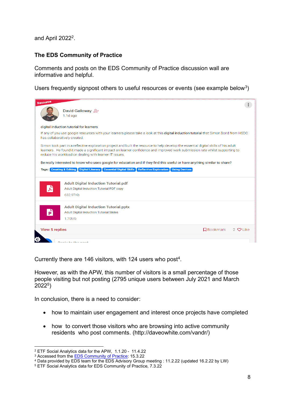and April 2022 $2$ .

# **The EDS Community of Practice**

Comments and posts on the EDS Community of Practice discussion wall are informative and helpful.

Users frequently signpost others to useful resources or events (see example below<sup>3</sup>)



Currently there are 146 visitors, with 124 users who post<sup>4</sup>.

However, as with the APW, this number of visitors is a small percentage of those people visiting but not posting (2795 unique users between July 2021 and March 2022<sup>5</sup> )

In conclusion, there is a need to consider:

- how to maintain user engagement and interest once projects have completed
- how to convert those visitors who are browsing into active community residents who post comments. (http://daveowhite.com/vandr/)

<sup>2</sup> ETF Social Analytics data for the APW, 1.1.20 - 11.4.22

<sup>&</sup>lt;sup>3</sup> Accessed from the [EDS Community of Practice:](about:blank) 15.3.22

<sup>4</sup> Data provided by EDS team for the EDS Advisory Group meeting : 11.2.22 (updated 16.2.22 by LW)

<sup>5</sup> ETF Social Analytics data for EDS Community of Practice, 7.3.22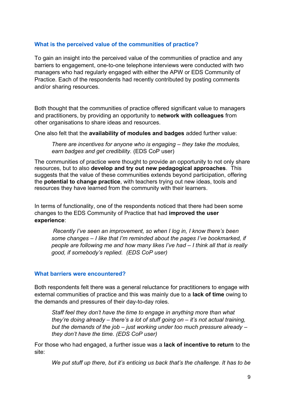## <span id="page-8-0"></span>**What is the perceived value of the communities of practice?**

To gain an insight into the perceived value of the communities of practice and any barriers to engagement, one-to-one telephone interviews were conducted with two managers who had regularly engaged with either the APW or EDS Community of Practice. Each of the respondents had recently contributed by posting comments and/or sharing resources.

Both thought that the communities of practice offered significant value to managers and practitioners, by providing an opportunity to **network with colleagues** from other organisations to share ideas and resources.

One also felt that the **availability of modules and badges** added further value:

*There are incentives for anyone who is engaging – they take the modules, earn badges and get credibility.* (EDS CoP user)

The communities of practice were thought to provide an opportunity to not only share resources, but to also **develop and try out new pedagogical approaches**. This suggests that the value of these communities extends beyond participation, offering the **potential to change practice**, with teachers trying out new ideas, tools and resources they have learned from the community with their learners.

In terms of functionality, one of the respondents noticed that there had been some changes to the EDS Community of Practice that had **improved the user experience**:

*Recently I've seen an improvement, so when I log in, I know there's been some changes – I like that I'm reminded about the pages I've bookmarked, if people are following me and how many likes I've had – I think all that is really good, if somebody's replied. (EDS CoP user)*

#### <span id="page-8-1"></span>**What barriers were encountered?**

Both respondents felt there was a general reluctance for practitioners to engage with external communities of practice and this was mainly due to a **lack of time** owing to the demands and pressures of their day-to-day roles.

*Staff feel they don't have the time to engage in anything more than what they're doing already – there's a lot of stuff going on – it's not actual training, but the demands of the job – just working under too much pressure already – they don't have the time. (EDS CoP user)*

For those who had engaged, a further issue was a **lack of incentive to return** to the site:

*We put stuff up there, but it's enticing us back that's the challenge. It has to be*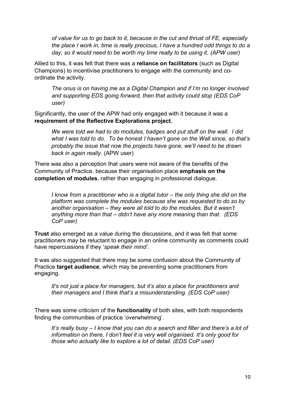*of value for us to go back to it, because in the cut and thrust of FE, especially the place I work in, time is really precious, I have a hundred odd things to do a day, so it would need to be worth my time really to be using it. (APW user)*

Allied to this, it was felt that there was a **reliance on facilitators** (such as Digital Champions) to incentivise practitioners to engage with the community and coordinate the activity.

*The onus is on having me as a Digital Champion and if I'm no longer involved and supporting EDS going forward, then that activity could stop (EDS CoP user)*

Significantly, the user of the APW had only engaged with it because it was a **requirement of the Reflective Explorations project.**

*We were told we had to do modules, badges and put stuff on the wall. I did what I was told to do. To be honest I haven't gone on the Wall since, so that's probably the issue that now the projects have gone, we'll need to be drawn back in again really.* (APW user)

There was also a perception that users were not aware of the benefits of the Community of Practice, because their organisation place **emphasis on the completion of modules**, rather than engaging in professional dialogue.

*I* know from a practitioner who is a digital tutor – the only thing she did on the *platform was complete the modules because she was requested to do so by another organisation – they were all told to do the modules. But it wasn't anything more than that – didn't have any more meaning than that. (EDS CoP user)*

**Trust** also emerged as a value during the discussions, and it was felt that some practitioners may be reluctant to engage in an online community as comments could have repercussions if they '*speak their mind'*.

It was also suggested that there may be some confusion about the Community of Practice **target audience**, which may be preventing some practitioners from engaging.

*It's not just a place for managers, but it's also a place for practitioners and their managers and I think that's a misunderstanding. (EDS CoP user)*

There was some criticism of the **functionality** of both sites, with both respondents finding the communities of practice 'overwhelming'.

*It's really busy – I know that you can do a search and filter and there's a lot of information on there, I don't feel it is very well organised. It's only good for those who actually like to explore a lot of detail. (EDS CoP user)*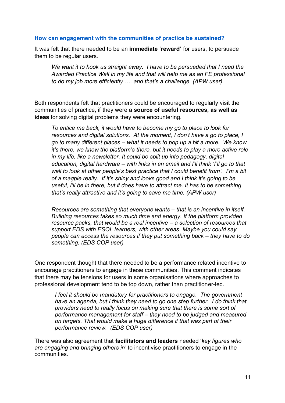#### **How can engagement with the communities of practice be sustained?**

It was felt that there needed to be an **immediate 'reward'** for users, to persuade them to be regular users.

*We want it to hook us straight away. I have to be persuaded that I need the Awarded Practice Wall in my life and that will help me as an FE professional to do my job more efficiently …. and that's a challenge. (APW user)*

Both respondents felt that practitioners could be encouraged to regularly visit the communities of practice, if they were a **source of useful resources, as well as ideas** for solving digital problems they were encountering.

*To entice me back, it would have to become my go to place to look for resources and digital solutions. At the moment, I don't have a go to place, I go to many different places – what it needs to pop up a bit a more. We know it's there, we know the platform's there, but it needs to play a more active role in my life, like a newsletter. It could be split up into pedagogy, digital education, digital hardware – with links in an email and I'll think 'I'll go to that wall to look at other people's best practice that I could benefit from'. I'm a bit of a magpie really. If it's shiny and looks good and I think it's going to be useful, I'll be in there, but it does have to attract me. It has to be something that's really attractive and it's going to save me time. (APW user)*

*Resources are something that everyone wants – that is an incentive in itself. Building resources takes so much time and energy. If the platform provided resource packs, that would be a real incentive – a selection of resources that support EDS with ESOL learners, with other areas. Maybe you could say people can access the resources if they put something back – they have to do something. (EDS COP user)*

One respondent thought that there needed to be a performance related incentive to encourage practitioners to engage in these communities. This comment indicates that there may be tensions for users in some organisations where approaches to professional development tend to be top down, rather than practitioner-led.

*I feel it should be mandatory for practitioners to engage. The government have an agenda, but I think they need to go one step further. I do think that providers need to really focus on making sure that there is some sort of performance management for staff – they need to be judged and measured on targets. That would make a huge difference if that was part of their performance review. (EDS COP user)*

There was also agreement that **facilitators and leaders** needed '*key figures who are engaging and bringing others in'* to incentivise practitioners to engage in the communities.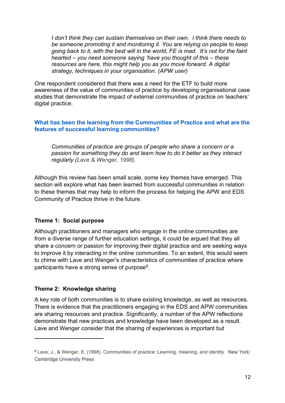*I don't think they can sustain themselves on their own. I think there needs to be someone promoting it and monitoring it. You are relying on people to keep going back to it, with the best will in the world, FE is mad. It's not for the faint hearted – you need someone saying 'have you thought of this – these resources are here, this might help you as you move forward. A digital strategy, techniques in your organisation. (APW user)*

One respondent considered that there was a need for the ETF to build more awareness of the value of communities of practice by developing organisational case studies that demonstrate the impact of external communities of practice on teachers' digital practice.

## <span id="page-11-0"></span>**What has been the learning from the Communities of Practice and what are the features of successful learning communities?**

*Communities of practice are groups of people who share a concern or a passion for something they do and learn how to do it better as they interact regularly (Lave & Wenger, 1998).*

Although this review has been small scale, some key themes have emerged. This section will explore what has been learned from successful communities in relation to these themes that may help to inform the process for helping the APW and EDS Community of Practice thrive in the future.

# **Theme 1: Social purpose**

Although practitioners and managers who engage in the online communities are from a diverse range of further education settings, it could be argued that they all share a concern or passion for improving their digital practice and are seeking ways to improve it by interacting in the online communities. To an extent, this would seem to chime with Lave and Wenger's characteristics of communities of practice where participants have a strong sense of purpose $\rm ^6$ .

# **Theme 2: Knowledge sharing**

A key role of both communities is to share existing knowledge, as well as resources. There is evidence that the practitioners engaging in the EDS and APW communities are sharing resources and practice. Significantly, a number of the APW reflections demonstrate that new practices and knowledge have been developed as a result. Lave and Wenger consider that the sharing of experiences is important but

<sup>6</sup> Lave, J., & Wenger, E. (1998). Communities of practice: Learning, meaning, and identity. New York: Cambridge University Press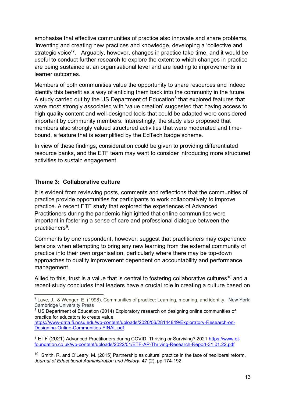emphasise that effective communities of practice also innovate and share problems, 'inventing and creating new practices and knowledge, developing a 'collective and strategic voice<sup>'7</sup>. Arguably, however, changes in practice take time, and it would be useful to conduct further research to explore the extent to which changes in practice are being sustained at an organisational level and are leading to improvements in learner outcomes.

Members of both communities value the opportunity to share resources and indeed identify this benefit as a way of enticing them back into the community in the future. A study carried out by the US Department of Education<sup>8</sup> that explored features that were most strongly associated with 'value creation' suggested that having access to high quality content and well-designed tools that could be adapted were considered important by community members. Interestingly, the study also proposed that members also strongly valued structured activities that were moderated and timebound, a feature that is exemplified by the EdTech badge scheme.

In view of these findings, consideration could be given to providing differentiated resource banks, and the ETF team may want to consider introducing more structured activities to sustain engagement.

# **Theme 3: Collaborative culture**

It is evident from reviewing posts, comments and reflections that the communities of practice provide opportunities for participants to work collaboratively to improve practice. A recent ETF study that explored the experiences of Advanced Practitioners during the pandemic highlighted that online communities were important in fostering a sense of care and professional dialogue between the practitioners<sup>9</sup>.

Comments by one respondent, however, suggest that practitioners may experience tensions when attempting to bring any new learning from the external community of practice into their own organisation, particularly where there may be top-down approaches to quality improvement dependent on accountability and performance management.

Allied to this, trust is a value that is central to fostering collaborative cultures<sup>10</sup> and a recent study concludes that leaders have a crucial role in creating a culture based on

<sup>7</sup> Lave, J., & Wenger, E. (1998). Communities of practice: Learning, meaning, and identity. New York: Cambridge University Press

<sup>&</sup>lt;sup>8</sup> US Department of Education (2014) Exploratory research on designing online communities of practice for educators to create value

[https://www-data.fi.ncsu.edu/wp-content/uploads/2020/06/28144849/Exploratory-Research-on-](about:blank)[Designing-Online-Communities-FINAL.pdf](about:blank)

<sup>&</sup>lt;sup>9</sup> ETF (2021) Advanced Practitioners during COVID, Thriving or Surviving? 2021 [https://www.et](about:blank)[foundation.co.uk/wp-content/uploads/2022/01/ETF-AP-Thriving-Research-Report-31.01.22.pdf](about:blank)

 $10$  Smith, R. and O'Leary, M. (2015) Partnership as cultural practice in the face of neoliberal reform, *Journal of Educational Administration and History*, 47 (2), pp.174-192.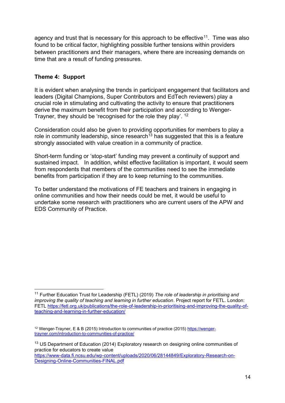agency and trust that is necessary for this approach to be effective $^{11}$ . Time was also found to be critical factor, highlighting possible further tensions within providers between practitioners and their managers, where there are increasing demands on time that are a result of funding pressures.

# **Theme 4: Support**

It is evident when analysing the trends in participant engagement that facilitators and leaders (Digital Champions, Super Contributors and EdTech reviewers) play a crucial role in stimulating and cultivating the activity to ensure that practitioners derive the maximum benefit from their participation and according to Wenger-Trayner, they should be 'recognised for the role they play'. <sup>12</sup>

Consideration could also be given to providing opportunities for members to play a role in community leadership, since research<sup>13</sup> has suggested that this is a feature strongly associated with value creation in a community of practice.

Short-term funding or 'stop-start' funding may prevent a continuity of support and sustained impact. In addition, whilst effective facilitation is important, it would seem from respondents that members of the communities need to see the immediate benefits from participation if they are to keep returning to the communities.

To better understand the motivations of FE teachers and trainers in engaging in online communities and how their needs could be met, it would be useful to undertake some research with practitioners who are current users of the APW and EDS Community of Practice.

<sup>11</sup> Further Education Trust for Leadership (FETL) (2019) *The role of leadership in prioritising and improving the quality of teaching and learning in further education*. Project report for FETL. London: FETL [https://fetl.org.uk/publications/the-role-of-leadership-in-prioritising-and-improving-the-quality-of](about:blank)[teaching-and-learning-in-further-education/](about:blank)

<sup>12</sup> Wenger-Trayner, E & B (2015) Introduction to communities of practice (2015) [https://wenger](about:blank)[trayner.com/introduction-to-communities-of-practice/](about:blank)

<sup>&</sup>lt;sup>13</sup> US Department of Education (2014) Exploratory research on designing online communities of practice for educators to create value [https://www-data.fi.ncsu.edu/wp-content/uploads/2020/06/28144849/Exploratory-Research-on-](about:blank)[Designing-Online-Communities-FINAL.pdf](about:blank)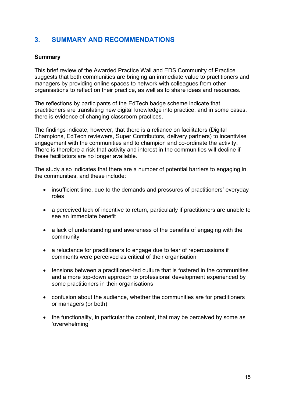# <span id="page-14-0"></span>**3. SUMMARY AND RECOMMENDATIONS**

## **Summary**

This brief review of the Awarded Practice Wall and EDS Community of Practice suggests that both communities are bringing an immediate value to practitioners and managers by providing online spaces to network with colleagues from other organisations to reflect on their practice, as well as to share ideas and resources.

The reflections by participants of the EdTech badge scheme indicate that practitioners are translating new digital knowledge into practice, and in some cases, there is evidence of changing classroom practices.

The findings indicate, however, that there is a reliance on facilitators (Digital Champions, EdTech reviewers, Super Contributors, delivery partners) to incentivise engagement with the communities and to champion and co-ordinate the activity. There is therefore a risk that activity and interest in the communities will decline if these facilitators are no longer available.

The study also indicates that there are a number of potential barriers to engaging in the communities, and these include:

- insufficient time, due to the demands and pressures of practitioners' everyday roles
- a perceived lack of incentive to return, particularly if practitioners are unable to see an immediate benefit
- a lack of understanding and awareness of the benefits of engaging with the community
- a reluctance for practitioners to engage due to fear of repercussions if comments were perceived as critical of their organisation
- tensions between a practitioner-led culture that is fostered in the communities and a more top-down approach to professional development experienced by some practitioners in their organisations
- confusion about the audience, whether the communities are for practitioners or managers (or both)
- the functionality, in particular the content, that may be perceived by some as 'overwhelming'